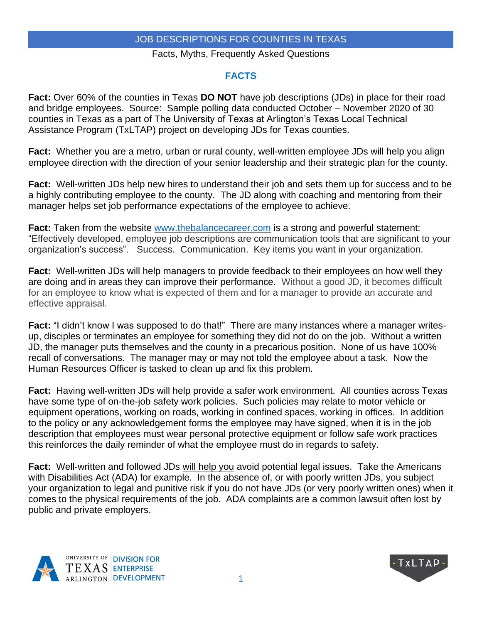#### Facts, Myths, Frequently Asked Questions

### **FACTS**

**Fact:** Over 60% of the counties in Texas **DO NOT** have job descriptions (JDs) in place for their road and bridge employees. Source: Sample polling data conducted October – November 2020 of 30 counties in Texas as a part of The University of Texas at Arlington's Texas Local Technical Assistance Program (TxLTAP) project on developing JDs for Texas counties.

**Fact:** Whether you are a metro, urban or rural county, well-written employee JDs will help you align employee direction with the direction of your senior leadership and their strategic plan for the county.

**Fact:** Well-written JDs help new hires to understand their job and sets them up for success and to be a highly contributing employee to the county. The JD along with coaching and mentoring from their manager helps set job performance expectations of the employee to achieve.

**Fact:** Taken from the website [www.thebalancecareer.com](http://www.thebalancecareer.com/) is a strong and powerful statement: "Effectively developed, employee job descriptions are communication tools that are significant to your organization's success". Success. Communication. Key items you want in your organization.

**Fact:** Well-written JDs will help managers to provide feedback to their employees on how well they are doing and in areas they can improve their performance. Without a good JD, it becomes difficult for an employee to know what is expected of them and for a manager to provide an accurate and effective appraisal.

**Fact:** "I didn't know I was supposed to do that!" There are many instances where a manager writesup, disciples or terminates an employee for something they did not do on the job. Without a written JD, the manager puts themselves and the county in a precarious position. None of us have 100% recall of conversations. The manager may or may not told the employee about a task. Now the Human Resources Officer is tasked to clean up and fix this problem.

**Fact:** Having well-written JDs will help provide a safer work environment. All counties across Texas have some type of on-the-job safety work policies. Such policies may relate to motor vehicle or equipment operations, working on roads, working in confined spaces, working in offices. In addition to the policy or any acknowledgement forms the employee may have signed, when it is in the job description that employees must wear personal protective equipment or follow safe work practices this reinforces the daily reminder of what the employee must do in regards to safety.

**Fact:** Well-written and followed JDs will help you avoid potential legal issues. Take the Americans with Disabilities Act (ADA) for example. In the absence of, or with poorly written JDs, you subject your organization to legal and punitive risk if you do not have JDs (or very poorly written ones) when it comes to the physical requirements of the job. ADA complaints are a common lawsuit often lost by public and private employers.



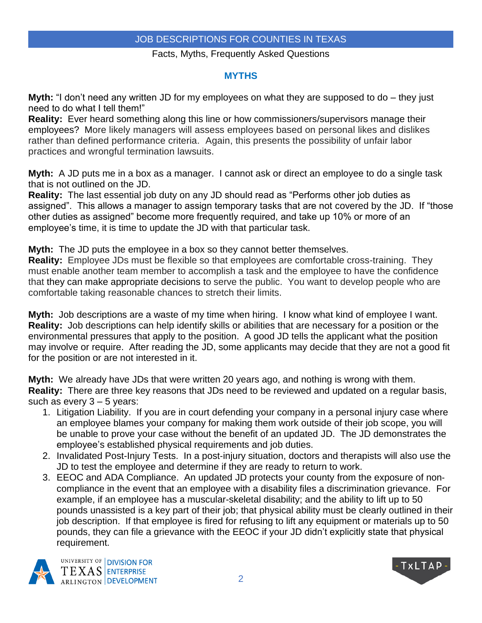### Facts, Myths, Frequently Asked Questions

## **MYTHS**

**Myth:** "I don't need any written JD for my employees on what they are supposed to do – they just need to do what I tell them!"

**Reality:** Ever heard something along this line or how commissioners/supervisors manage their employees? More likely managers will assess employees based on personal likes and dislikes rather than defined performance criteria. Again, this presents the possibility of unfair labor practices and wrongful termination lawsuits.

**Myth:** A JD puts me in a box as a manager. I cannot ask or direct an employee to do a single task that is not outlined on the JD.

**Reality:** The last essential job duty on any JD should read as "Performs other job duties as assigned". This allows a manager to assign temporary tasks that are not covered by the JD. If "those other duties as assigned" become more frequently required, and take up 10% or more of an employee's time, it is time to update the JD with that particular task.

**Myth:** The JD puts the employee in a box so they cannot better themselves.

**Reality:** Employee JDs must be flexible so that employees are comfortable cross-training. They must enable another team member to accomplish a task and the employee to have the confidence that they can make appropriate decisions to serve the public. You want to develop people who are comfortable taking reasonable chances to stretch their limits.

**Myth:** Job descriptions are a waste of my time when hiring. I know what kind of employee I want. **Reality:** Job descriptions can help identify skills or abilities that are necessary for a position or the environmental pressures that apply to the position. A good JD tells the applicant what the position may involve or require. After reading the JD, some applicants may decide that they are not a good fit for the position or are not interested in it.

**Myth:** We already have JDs that were written 20 years ago, and nothing is wrong with them. **Reality:** There are three key reasons that JDs need to be reviewed and updated on a regular basis, such as every  $3 - 5$  years:

- 1. Litigation Liability. If you are in court defending your company in a personal injury case where an employee blames your company for making them work outside of their job scope, you will be unable to prove your case without the benefit of an updated JD. The JD demonstrates the employee's established physical requirements and job duties.
- 2. Invalidated Post-Injury Tests. In a post‐injury situation, doctors and therapists will also use the JD to test the employee and determine if they are ready to return to work.
- 3. EEOC and ADA Compliance. An updated JD protects your county from the exposure of non‐ compliance in the event that an employee with a disability files a discrimination grievance. For example, if an employee has a muscular-skeletal disability; and the ability to lift up to 50 pounds unassisted is a key part of their job; that physical ability must be clearly outlined in their job description. If that employee is fired for refusing to lift any equipment or materials up to 50 pounds, they can file a grievance with the EEOC if your JD didn't explicitly state that physical requirement.



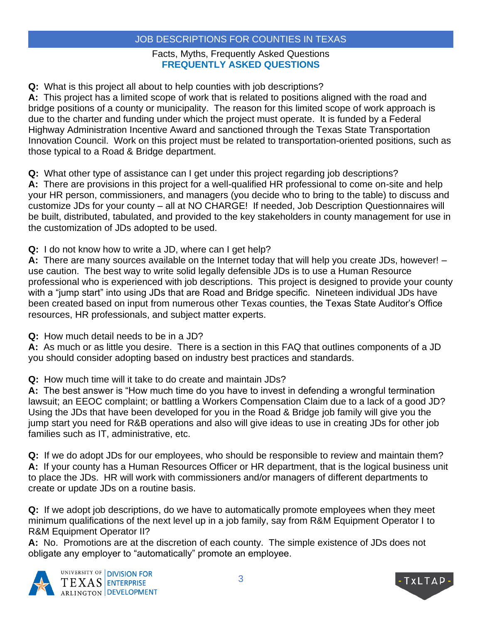## Facts, Myths, Frequently Asked Questions **FREQUENTLY ASKED QUESTIONS**

**Q:** What is this project all about to help counties with job descriptions?

**A:** This project has a limited scope of work that is related to positions aligned with the road and bridge positions of a county or municipality. The reason for this limited scope of work approach is due to the charter and funding under which the project must operate. It is funded by a Federal Highway Administration Incentive Award and sanctioned through the Texas State Transportation Innovation Council. Work on this project must be related to transportation-oriented positions, such as those typical to a Road & Bridge department.

**Q:** What other type of assistance can I get under this project regarding job descriptions?

**A:** There are provisions in this project for a well-qualified HR professional to come on-site and help your HR person, commissioners, and managers (you decide who to bring to the table) to discuss and customize JDs for your county – all at NO CHARGE! If needed, Job Description Questionnaires will be built, distributed, tabulated, and provided to the key stakeholders in county management for use in the customization of JDs adopted to be used.

**Q:** I do not know how to write a JD, where can I get help?

**A:** There are many sources available on the Internet today that will help you create JDs, however! – use caution. The best way to write solid legally defensible JDs is to use a Human Resource professional who is experienced with job descriptions. This project is designed to provide your county with a "jump start" into using JDs that are Road and Bridge specific. Nineteen individual JDs have been created based on input from numerous other Texas counties, the Texas State Auditor's Office resources, HR professionals, and subject matter experts.

**Q:** How much detail needs to be in a JD?

**A:** As much or as little you desire. There is a section in this FAQ that outlines components of a JD you should consider adopting based on industry best practices and standards.

**Q:** How much time will it take to do create and maintain JDs?

**A:** The best answer is "How much time do you have to invest in defending a wrongful termination lawsuit; an EEOC complaint; or battling a Workers Compensation Claim due to a lack of a good JD? Using the JDs that have been developed for you in the Road & Bridge job family will give you the jump start you need for R&B operations and also will give ideas to use in creating JDs for other job families such as IT, administrative, etc.

**Q:** If we do adopt JDs for our employees, who should be responsible to review and maintain them? **A:** If your county has a Human Resources Officer or HR department, that is the logical business unit to place the JDs. HR will work with commissioners and/or managers of different departments to create or update JDs on a routine basis.

**Q:** If we adopt job descriptions, do we have to automatically promote employees when they meet minimum qualifications of the next level up in a job family, say from R&M Equipment Operator I to R&M Equipment Operator II?

**A:** No. Promotions are at the discretion of each county. The simple existence of JDs does not obligate any employer to "automatically" promote an employee.